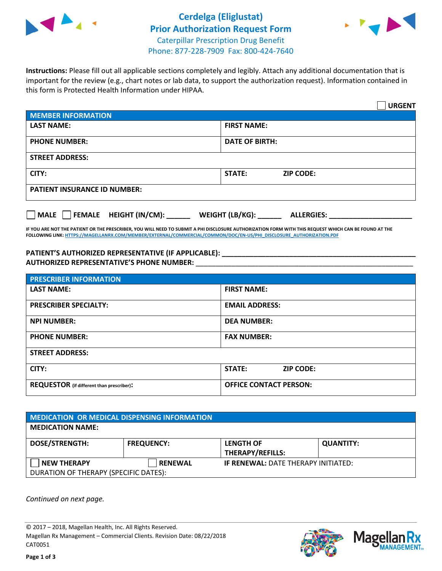

## **Cerdelga (Eliglustat) Prior Authorization Request Form** Caterpillar Prescription Drug Benefit Phone: 877-228-7909 Fax: 800-424-7640



**Instructions:** Please fill out all applicable sections completely and legibly. Attach any additional documentation that is important for the review (e.g., chart notes or lab data, to support the authorization request). Information contained in this form is Protected Health Information under HIPAA.

|                                     | <b>URGENT</b>                          |  |  |  |
|-------------------------------------|----------------------------------------|--|--|--|
| <b>MEMBER INFORMATION</b>           |                                        |  |  |  |
| <b>LAST NAME:</b>                   | <b>FIRST NAME:</b>                     |  |  |  |
| <b>PHONE NUMBER:</b>                | <b>DATE OF BIRTH:</b>                  |  |  |  |
| <b>STREET ADDRESS:</b>              |                                        |  |  |  |
| CITY:                               | <b>ZIP CODE:</b><br>STATE:             |  |  |  |
| <b>PATIENT INSURANCE ID NUMBER:</b> |                                        |  |  |  |
| FEMALE HEIGHT (IN/CM):<br>   MALE   | WEIGHT (LB/KG): _<br><b>ALLERGIES:</b> |  |  |  |

**IF YOU ARE NOT THE PATIENT OR THE PRESCRIBER, YOU WILL NEED TO SUBMIT A PHI DISCLOSURE AUTHORIZATION FORM WITH THIS REQUEST WHICH CAN BE FOUND AT THE FOLLOWING LINK[: HTTPS://MAGELLANRX.COM/MEMBER/EXTERNAL/COMMERCIAL/COMMON/DOC/EN-US/PHI\\_DISCLOSURE\\_AUTHORIZATION.PDF](https://magellanrx.com/member/external/commercial/common/doc/en-us/PHI_Disclosure_Authorization.pdf)**

**PATIENT'S AUTHORIZED REPRESENTATIVE (IF APPLICABLE): \_\_\_\_\_\_\_\_\_\_\_\_\_\_\_\_\_\_\_\_\_\_\_\_\_\_\_\_\_\_\_\_\_\_\_\_\_\_\_\_\_\_\_\_\_\_\_\_\_ AUTHORIZED REPRESENTATIVE'S PHONE NUMBER:** \_\_\_\_\_\_\_\_\_\_\_\_\_\_\_\_\_\_\_\_\_\_\_\_\_\_\_\_\_\_\_\_\_\_\_\_\_\_\_\_\_\_\_\_\_\_\_\_\_\_\_\_\_\_\_

| <b>PRESCRIBER INFORMATION</b>             |                               |  |  |  |
|-------------------------------------------|-------------------------------|--|--|--|
| <b>LAST NAME:</b>                         | <b>FIRST NAME:</b>            |  |  |  |
| <b>PRESCRIBER SPECIALTY:</b>              | <b>EMAIL ADDRESS:</b>         |  |  |  |
| <b>NPI NUMBER:</b>                        | <b>DEA NUMBER:</b>            |  |  |  |
| <b>PHONE NUMBER:</b>                      | <b>FAX NUMBER:</b>            |  |  |  |
| <b>STREET ADDRESS:</b>                    |                               |  |  |  |
| CITY:                                     | STATE:<br><b>ZIP CODE:</b>    |  |  |  |
| REQUESTOR (if different than prescriber): | <b>OFFICE CONTACT PERSON:</b> |  |  |  |

| <b>MEDICATION OR MEDICAL DISPENSING INFORMATION</b> |                   |                                            |                  |  |  |
|-----------------------------------------------------|-------------------|--------------------------------------------|------------------|--|--|
| <b>MEDICATION NAME:</b>                             |                   |                                            |                  |  |  |
| <b>DOSE/STRENGTH:</b>                               | <b>FREQUENCY:</b> | <b>LENGTH OF</b>                           | <b>QUANTITY:</b> |  |  |
|                                                     |                   | <b>THERAPY/REFILLS:</b>                    |                  |  |  |
| <b>NEW THERAPY</b>                                  | <b>RENEWAL</b>    | <b>IF RENEWAL: DATE THERAPY INITIATED:</b> |                  |  |  |
| DURATION OF THERAPY (SPECIFIC DATES):               |                   |                                            |                  |  |  |

*Continued on next page.*

© 2017 – 2018, Magellan Health, Inc. All Rights Reserved. Magellan Rx Management – Commercial Clients. Revision Date: 08/22/2018 CAT0051



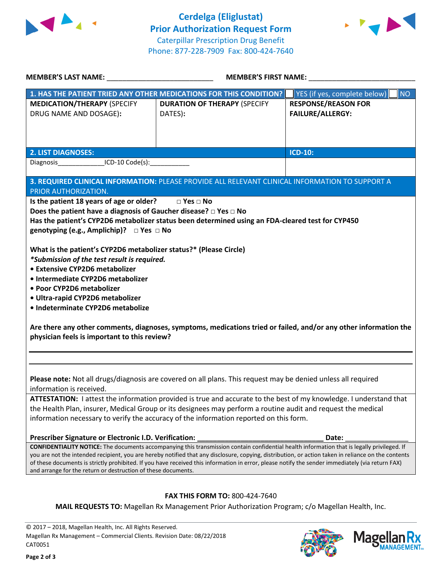



|                                                                                                                                                                                                                                                                                                           | MEMBER'S FIRST NAME:                                                                                             |                                    |  |  |
|-----------------------------------------------------------------------------------------------------------------------------------------------------------------------------------------------------------------------------------------------------------------------------------------------------------|------------------------------------------------------------------------------------------------------------------|------------------------------------|--|--|
|                                                                                                                                                                                                                                                                                                           | 1. HAS THE PATIENT TRIED ANY OTHER MEDICATIONS FOR THIS CONDITION?                                               | YES (if yes, complete below)<br>NO |  |  |
| <b>MEDICATION/THERAPY (SPECIFY</b>                                                                                                                                                                                                                                                                        | <b>DURATION OF THERAPY (SPECIFY</b>                                                                              | <b>RESPONSE/REASON FOR</b>         |  |  |
| DRUG NAME AND DOSAGE):                                                                                                                                                                                                                                                                                    | DATES):                                                                                                          | <b>FAILURE/ALLERGY:</b>            |  |  |
|                                                                                                                                                                                                                                                                                                           |                                                                                                                  |                                    |  |  |
|                                                                                                                                                                                                                                                                                                           |                                                                                                                  |                                    |  |  |
|                                                                                                                                                                                                                                                                                                           |                                                                                                                  | ICD-10:                            |  |  |
| <b>2. LIST DIAGNOSES:</b><br>Diagnosis__________________ICD-10 Code(s):_____________                                                                                                                                                                                                                      |                                                                                                                  |                                    |  |  |
|                                                                                                                                                                                                                                                                                                           |                                                                                                                  |                                    |  |  |
|                                                                                                                                                                                                                                                                                                           | 3. REQUIRED CLINICAL INFORMATION: PLEASE PROVIDE ALL RELEVANT CLINICAL INFORMATION TO SUPPORT A                  |                                    |  |  |
| PRIOR AUTHORIZATION.                                                                                                                                                                                                                                                                                      |                                                                                                                  |                                    |  |  |
| Is the patient 18 years of age or older? □ Yes □ No                                                                                                                                                                                                                                                       |                                                                                                                  |                                    |  |  |
| Does the patient have a diagnosis of Gaucher disease? $\Box$ Yes $\Box$ No                                                                                                                                                                                                                                |                                                                                                                  |                                    |  |  |
|                                                                                                                                                                                                                                                                                                           | Has the patient's CYP2D6 metabolizer status been determined using an FDA-cleared test for CYP450                 |                                    |  |  |
| genotyping (e.g., Amplichip)? $\Box$ Yes $\Box$ No                                                                                                                                                                                                                                                        |                                                                                                                  |                                    |  |  |
|                                                                                                                                                                                                                                                                                                           |                                                                                                                  |                                    |  |  |
| What is the patient's CYP2D6 metabolizer status?* (Please Circle)<br>*Submission of the test result is required.                                                                                                                                                                                          |                                                                                                                  |                                    |  |  |
| • Extensive CYP2D6 metabolizer                                                                                                                                                                                                                                                                            |                                                                                                                  |                                    |  |  |
| · Intermediate CYP2D6 metabolizer                                                                                                                                                                                                                                                                         |                                                                                                                  |                                    |  |  |
| • Poor CYP2D6 metabolizer                                                                                                                                                                                                                                                                                 |                                                                                                                  |                                    |  |  |
|                                                                                                                                                                                                                                                                                                           |                                                                                                                  |                                    |  |  |
| · Ultra-rapid CYP2D6 metabolizer<br>· Indeterminate CYP2D6 metabolize                                                                                                                                                                                                                                     |                                                                                                                  |                                    |  |  |
|                                                                                                                                                                                                                                                                                                           |                                                                                                                  |                                    |  |  |
|                                                                                                                                                                                                                                                                                                           | Are there any other comments, diagnoses, symptoms, medications tried or failed, and/or any other information the |                                    |  |  |
| physician feels is important to this review?                                                                                                                                                                                                                                                              |                                                                                                                  |                                    |  |  |
|                                                                                                                                                                                                                                                                                                           |                                                                                                                  |                                    |  |  |
|                                                                                                                                                                                                                                                                                                           |                                                                                                                  |                                    |  |  |
|                                                                                                                                                                                                                                                                                                           |                                                                                                                  |                                    |  |  |
| Please note: Not all drugs/diagnosis are covered on all plans. This request may be denied unless all required                                                                                                                                                                                             |                                                                                                                  |                                    |  |  |
| information is received.                                                                                                                                                                                                                                                                                  |                                                                                                                  |                                    |  |  |
| ATTESTATION: I attest the information provided is true and accurate to the best of my knowledge. I understand that                                                                                                                                                                                        |                                                                                                                  |                                    |  |  |
| the Health Plan, insurer, Medical Group or its designees may perform a routine audit and request the medical                                                                                                                                                                                              |                                                                                                                  |                                    |  |  |
| information necessary to verify the accuracy of the information reported on this form.                                                                                                                                                                                                                    |                                                                                                                  |                                    |  |  |
|                                                                                                                                                                                                                                                                                                           |                                                                                                                  |                                    |  |  |
| Prescriber Signature or Electronic I.D. Verification:                                                                                                                                                                                                                                                     |                                                                                                                  | Date:                              |  |  |
| <b>CONFIDENTIALITY NOTICE:</b> The documents accompanying this transmission contain confidential health information that is legally privileged. If<br>you are not the intended recipient, you are hereby notified that any disclosure, copying, distribution, or action taken in reliance on the contents |                                                                                                                  |                                    |  |  |
| of these documents is strictly prohibited. If you have received this information in error, please notify the sender immediately (via return FAX)                                                                                                                                                          |                                                                                                                  |                                    |  |  |
| and arrange for the return or destruction of these documents.                                                                                                                                                                                                                                             |                                                                                                                  |                                    |  |  |
|                                                                                                                                                                                                                                                                                                           |                                                                                                                  |                                    |  |  |
| FAX THIS FORM TO: 800-424-7640                                                                                                                                                                                                                                                                            |                                                                                                                  |                                    |  |  |
| MAIL REQUESTS TO: Magellan Rx Management Prior Authorization Program; c/o Magellan Health, Inc.                                                                                                                                                                                                           |                                                                                                                  |                                    |  |  |

© 2017 – 2018, Magellan Health, Inc. All Rights Reserved. Magellan Rx Management – Commercial Clients. Revision Date: 08/22/2018 CAT0051